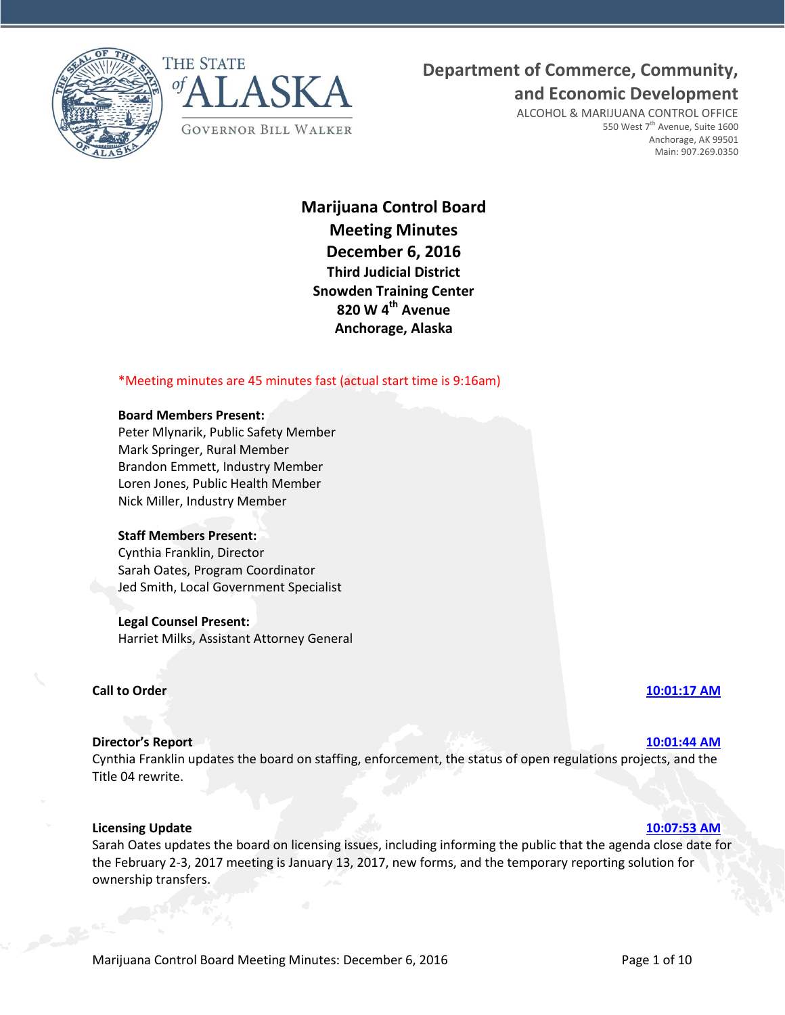



## **Department of Commerce, Community,**

**and Economic Development**

ALCOHOL & MARIJUANA CONTROL OFFICE 550 West 7<sup>th</sup> Avenue, Suite 1600 Anchorage, AK 99501 Main: 907.269.0350

**Marijuana Control Board Meeting Minutes December 6, 2016 Third Judicial District Snowden Training Center 820 W 4th Avenue Anchorage, Alaska**

### \*Meeting minutes are 45 minutes fast (actual start time is 9:16am)

#### **Board Members Present:**

Peter Mlynarik, Public Safety Member Mark Springer, Rural Member Brandon Emmett, Industry Member Loren Jones, Public Health Member Nick Miller, Industry Member

### **Staff Members Present:**

Cynthia Franklin, Director Sarah Oates, Program Coordinator Jed Smith, Local Government Specialist

#### **Legal Counsel Present:**

Harriet Milks, Assistant Attorney General

#### **Call to Order [10:01:17 AM](ftr://?location="ABC Board"?date="06-Dec-2016"?position="10:01:17"?Data="fe8ca653")**

#### **Director's Report [10:01:44 AM](ftr://?location="ABC Board"?date="06-Dec-2016"?position="10:01:44"?Data="bcf4980e")**

Cynthia Franklin updates the board on staffing, enforcement, the status of open regulations projects, and the Title 04 rewrite.

#### **Licensing Update [10:07:53 AM](ftr://?location="ABC Board"?date="06-Dec-2016"?position="10:07:53"?Data="e7610355")**

Sarah Oates updates the board on licensing issues, including informing the public that the agenda close date for the February 2-3, 2017 meeting is January 13, 2017, new forms, and the temporary reporting solution for ownership transfers.

#### Marijuana Control Board Meeting Minutes: December 6, 2016 **Page 1 of 10** Page 1 of 10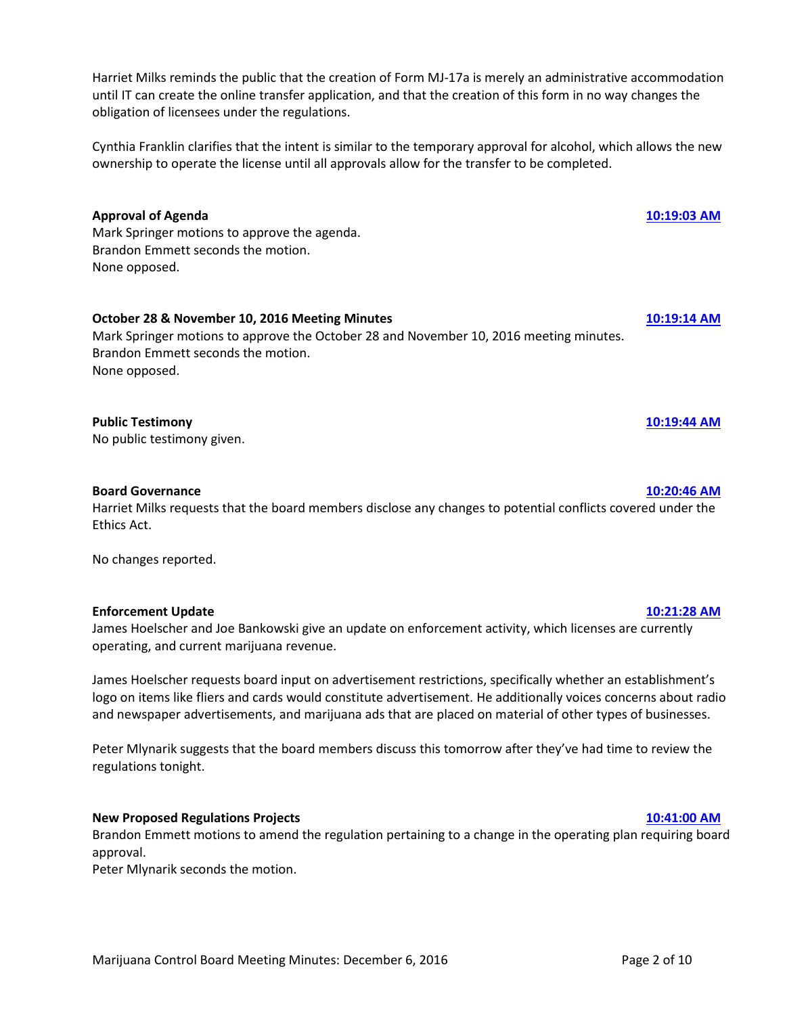Marijuana Control Board Meeting Minutes: December 6, 2016 **Page 2 of 10** Page 2 of 10

Harriet Milks reminds the public that the creation of Form MJ-17a is merely an administrative accommodation until IT can create the online transfer application, and that the creation of this form in no way changes the obligation of licensees under the regulations.

Cynthia Franklin clarifies that the intent is similar to the temporary approval for alcohol, which allows the new ownership to operate the license until all approvals allow for the transfer to be completed.

### **Approval of Agenda [10:19:03 AM](ftr://?location="ABC Board"?date="06-Dec-2016"?position="10:19:03"?Data="32c0ee3a")**

Mark Springer motions to approve the agenda. Brandon Emmett seconds the motion. None opposed.

### **October 28 & November 10, 2016 Meeting Minutes [10:19:14 AM](ftr://?location="ABC Board"?date="06-Dec-2016"?position="10:19:14"?Data="644b0526")**

Mark Springer motions to approve the October 28 and November 10, 2016 meeting minutes. Brandon Emmett seconds the motion. None opposed.

### **Public Testimony [10:19:44 AM](ftr://?location="ABC Board"?date="06-Dec-2016"?position="10:19:44"?Data="34869495")**

No public testimony given.

#### **Board Governance [10:20:46 AM](ftr://?location="ABC Board"?date="06-Dec-2016"?position="10:20:46"?Data="1504a524")**

Harriet Milks requests that the board members disclose any changes to potential conflicts covered under the Ethics Act.

No changes reported.

#### **Enforcement Update [10:21:28 AM](ftr://?location="ABC Board"?date="06-Dec-2016"?position="10:21:28"?Data="cc405a34")**

James Hoelscher and Joe Bankowski give an update on enforcement activity, which licenses are currently operating, and current marijuana revenue.

James Hoelscher requests board input on advertisement restrictions, specifically whether an establishment's logo on items like fliers and cards would constitute advertisement. He additionally voices concerns about radio and newspaper advertisements, and marijuana ads that are placed on material of other types of businesses.

Peter Mlynarik suggests that the board members discuss this tomorrow after they've had time to review the regulations tonight.

#### **New Proposed Regulations Projects [10:41:00 AM](ftr://?location="ABC Board"?date="06-Dec-2016"?position="10:41:00"?Data="ab017630")**

Brandon Emmett motions to amend the regulation pertaining to a change in the operating plan requiring board approval.

Peter Mlynarik seconds the motion.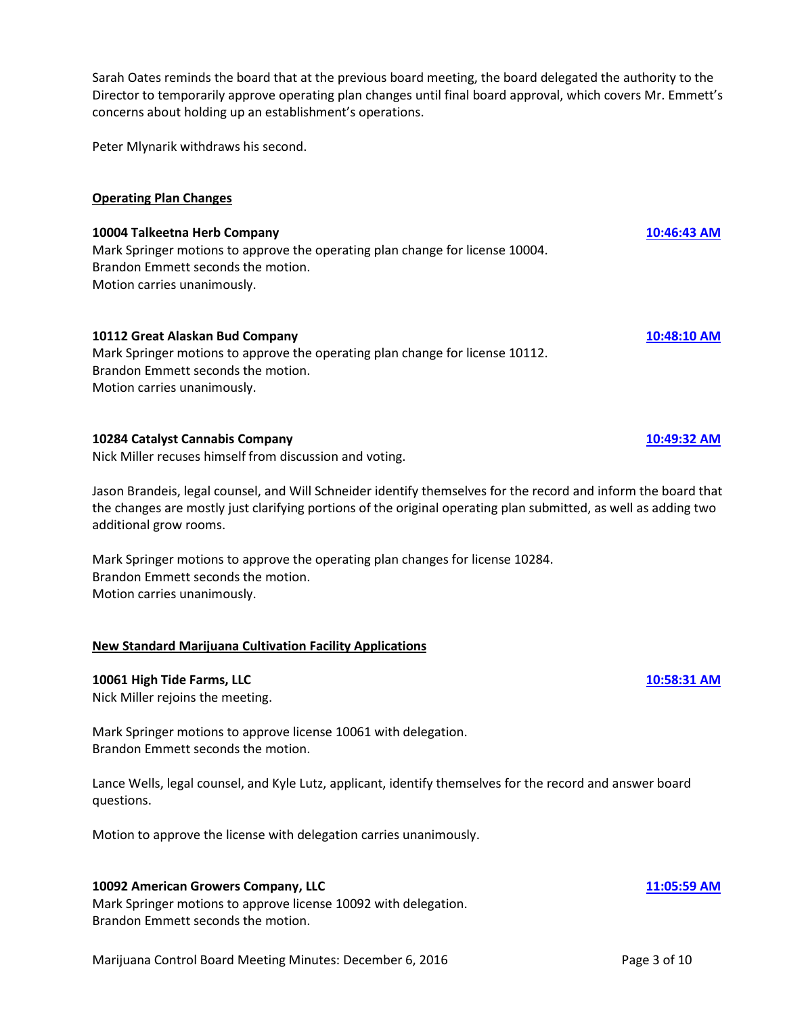Sarah Oates reminds the board that at the previous board meeting, the board delegated the authority to the Director to temporarily approve operating plan changes until final board approval, which covers Mr. Emmett's concerns about holding up an establishment's operations.

Peter Mlynarik withdraws his second.

#### **Operating Plan Changes**

# **10004 Talkeetna Herb Company [10:46:43 AM](ftr://?location="ABC Board"?date="06-Dec-2016"?position="10:46:43"?Data="c0f980b1")**

Mark Springer motions to approve the operating plan change for license 10004. Brandon Emmett seconds the motion. Motion carries unanimously.

#### **10112 Great Alaskan Bud Company [10:48:10 AM](ftr://?location="ABC Board"?date="06-Dec-2016"?position="10:48:10"?Data="9c488e5f")**

Mark Springer motions to approve the operating plan change for license 10112. Brandon Emmett seconds the motion. Motion carries unanimously.

#### **10284 Catalyst Cannabis Company [10:49:32 AM](ftr://?location="ABC Board"?date="06-Dec-2016"?position="10:49:32"?Data="944b8ce1")**

Nick Miller recuses himself from discussion and voting.

Jason Brandeis, legal counsel, and Will Schneider identify themselves for the record and inform the board that the changes are mostly just clarifying portions of the original operating plan submitted, as well as adding two additional grow rooms.

Mark Springer motions to approve the operating plan changes for license 10284. Brandon Emmett seconds the motion. Motion carries unanimously.

#### **New Standard Marijuana Cultivation Facility Applications**

#### **10061 High Tide Farms, LLC [10:58:31 AM](ftr://?location="ABC Board"?date="06-Dec-2016"?position="10:58:31"?Data="f299045e")**

Nick Miller rejoins the meeting.

Mark Springer motions to approve license 10061 with delegation. Brandon Emmett seconds the motion.

Lance Wells, legal counsel, and Kyle Lutz, applicant, identify themselves for the record and answer board questions.

Motion to approve the license with delegation carries unanimously.

#### **10092 American Growers Company, LLC [11:05:59 AM](ftr://?location="ABC Board"?date="06-Dec-2016"?position="11:05:59"?Data="2241a29d")**

Mark Springer motions to approve license 10092 with delegation. Brandon Emmett seconds the motion.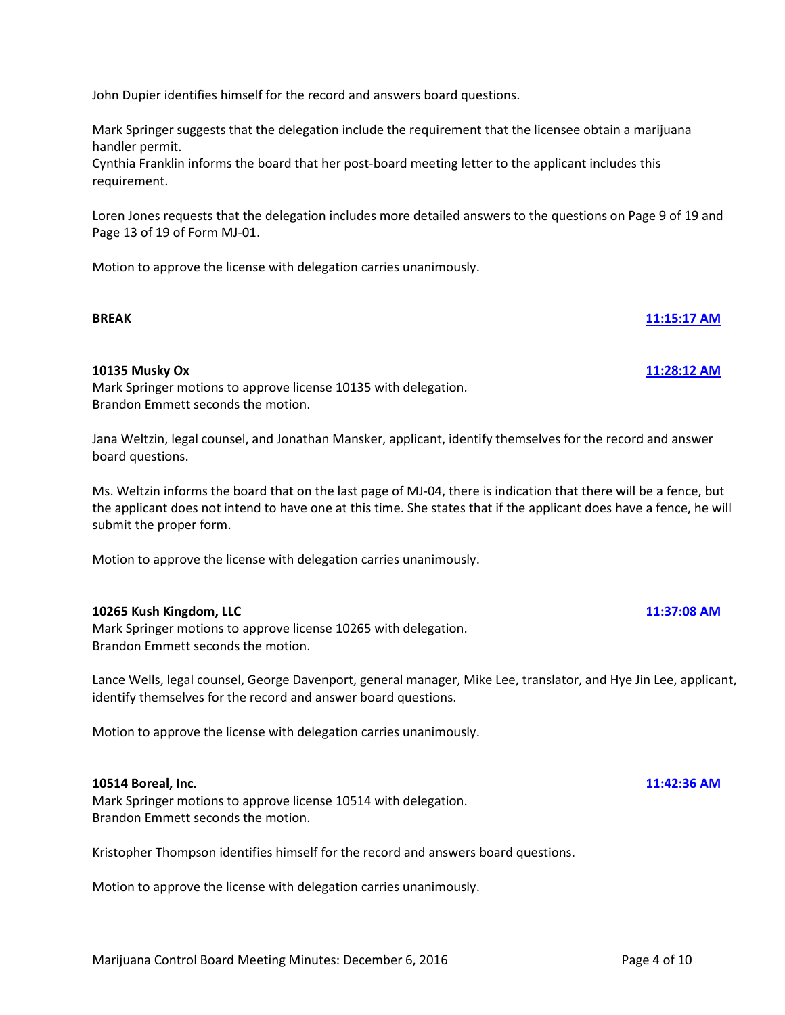John Dupier identifies himself for the record and answers board questions.

Mark Springer suggests that the delegation include the requirement that the licensee obtain a marijuana handler permit.

Cynthia Franklin informs the board that her post-board meeting letter to the applicant includes this requirement.

Loren Jones requests that the delegation includes more detailed answers to the questions on Page 9 of 19 and Page 13 of 19 of Form MJ-01.

**BREAK [11:15:17 AM](ftr://?location="ABC Board"?date="06-Dec-2016"?position="11:15:17"?Data="c2aadbd7")**

Motion to approve the license with delegation carries unanimously.

#### **10135 Musky Ox [11:28:12 AM](ftr://?location="ABC Board"?date="06-Dec-2016"?position="11:28:12"?Data="771472a5")**

Mark Springer motions to approve license 10135 with delegation. Brandon Emmett seconds the motion.

Jana Weltzin, legal counsel, and Jonathan Mansker, applicant, identify themselves for the record and answer board questions.

Ms. Weltzin informs the board that on the last page of MJ-04, there is indication that there will be a fence, but the applicant does not intend to have one at this time. She states that if the applicant does have a fence, he will submit the proper form.

Motion to approve the license with delegation carries unanimously.

#### **10265 Kush Kingdom, LLC [11:37:08 AM](ftr://?location="ABC Board"?date="06-Dec-2016"?position="11:37:08"?Data="b95b5686")**

Mark Springer motions to approve license 10265 with delegation. Brandon Emmett seconds the motion.

Lance Wells, legal counsel, George Davenport, general manager, Mike Lee, translator, and Hye Jin Lee, applicant, identify themselves for the record and answer board questions.

Motion to approve the license with delegation carries unanimously.

#### **10514 Boreal, Inc. [11:42:36 AM](ftr://?location="ABC Board"?date="06-Dec-2016"?position="11:42:36"?Data="4da171d0")**

Mark Springer motions to approve license 10514 with delegation. Brandon Emmett seconds the motion.

Kristopher Thompson identifies himself for the record and answers board questions.

Motion to approve the license with delegation carries unanimously.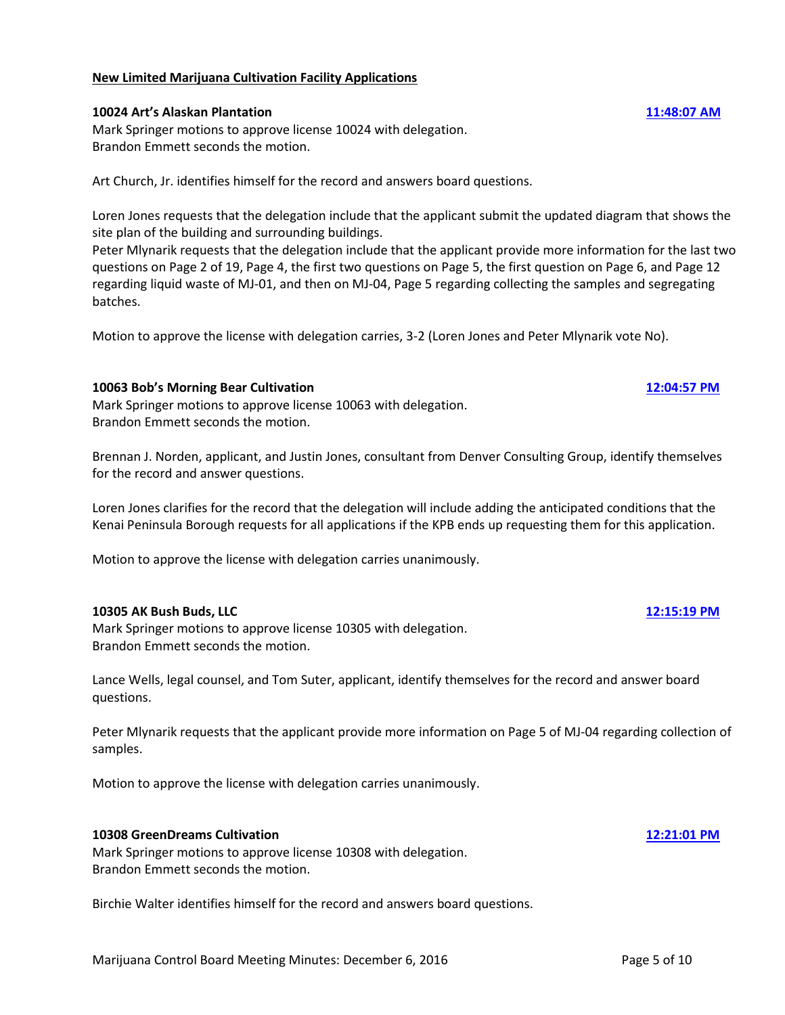### **New Limited Marijuana Cultivation Facility Applications**

#### **10024 Art's Alaskan Plantation [11:48:07 AM](ftr://?location="ABC Board"?date="06-Dec-2016"?position="11:48:07"?Data="64abf4d2")**

Mark Springer motions to approve license 10024 with delegation. Brandon Emmett seconds the motion.

Art Church, Jr. identifies himself for the record and answers board questions.

Loren Jones requests that the delegation include that the applicant submit the updated diagram that shows the site plan of the building and surrounding buildings.

Peter Mlynarik requests that the delegation include that the applicant provide more information for the last two questions on Page 2 of 19, Page 4, the first two questions on Page 5, the first question on Page 6, and Page 12 regarding liquid waste of MJ-01, and then on MJ-04, Page 5 regarding collecting the samples and segregating batches.

Motion to approve the license with delegation carries, 3-2 (Loren Jones and Peter Mlynarik vote No).

### **10063 Bob's Morning Bear Cultivation [12:04:57 PM](ftr://?location="ABC Board"?date="06-Dec-2016"?position="12:04:57"?Data="04940a62")**

Mark Springer motions to approve license 10063 with delegation. Brandon Emmett seconds the motion.

Brennan J. Norden, applicant, and Justin Jones, consultant from Denver Consulting Group, identify themselves for the record and answer questions.

Loren Jones clarifies for the record that the delegation will include adding the anticipated conditions that the Kenai Peninsula Borough requests for all applications if the KPB ends up requesting them for this application.

Motion to approve the license with delegation carries unanimously.

#### **10305 AK Bush Buds, LLC [12:15:19 PM](ftr://?location="ABC Board"?date="06-Dec-2016"?position="12:15:19"?Data="0bbd1816")**

Mark Springer motions to approve license 10305 with delegation. Brandon Emmett seconds the motion.

Lance Wells, legal counsel, and Tom Suter, applicant, identify themselves for the record and answer board questions.

Peter Mlynarik requests that the applicant provide more information on Page 5 of MJ-04 regarding collection of samples.

Motion to approve the license with delegation carries unanimously.

#### **10308 GreenDreams Cultivation [12:21:01 PM](ftr://?location="ABC Board"?date="06-Dec-2016"?position="12:21:01"?Data="7b2091d6")**

Mark Springer motions to approve license 10308 with delegation. Brandon Emmett seconds the motion.

Birchie Walter identifies himself for the record and answers board questions.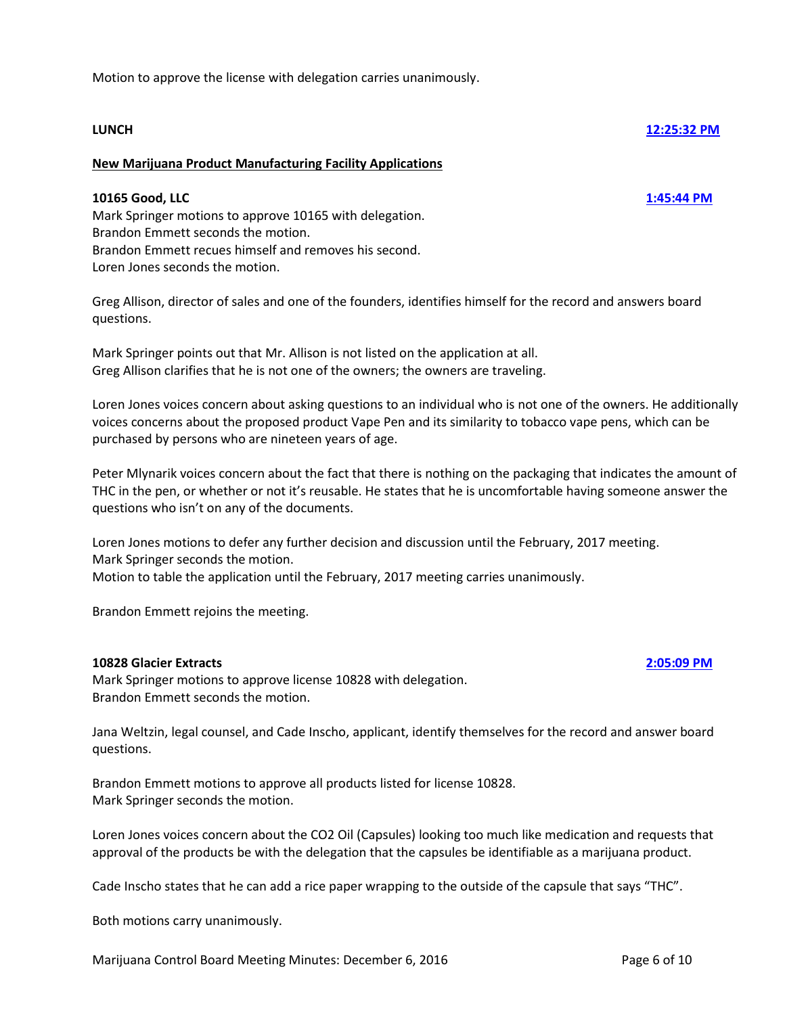Motion to approve the license with delegation carries unanimously.

# **LUNCH [12:25:32 PM](ftr://?location="ABC Board"?date="06-Dec-2016"?position="12:25:32"?Data="e6eaecec")**

### **New Marijuana Product Manufacturing Facility Applications**

### **10165 Good, LLC [1:45:44 PM](ftr://?location="ABC Board"?date="06-Dec-2016"?position="13:45:44"?Data="9fd1b7f9")**

Mark Springer motions to approve 10165 with delegation. Brandon Emmett seconds the motion. Brandon Emmett recues himself and removes his second. Loren Jones seconds the motion.

Greg Allison, director of sales and one of the founders, identifies himself for the record and answers board questions.

Mark Springer points out that Mr. Allison is not listed on the application at all. Greg Allison clarifies that he is not one of the owners; the owners are traveling.

Loren Jones voices concern about asking questions to an individual who is not one of the owners. He additionally voices concerns about the proposed product Vape Pen and its similarity to tobacco vape pens, which can be purchased by persons who are nineteen years of age.

Peter Mlynarik voices concern about the fact that there is nothing on the packaging that indicates the amount of THC in the pen, or whether or not it's reusable. He states that he is uncomfortable having someone answer the questions who isn't on any of the documents.

Loren Jones motions to defer any further decision and discussion until the February, 2017 meeting. Mark Springer seconds the motion. Motion to table the application until the February, 2017 meeting carries unanimously.

Brandon Emmett rejoins the meeting.

#### **10828 Glacier Extracts [2:05:09 PM](ftr://?location="ABC Board"?date="06-Dec-2016"?position="14:05:09"?Data="08d5ee38")**

Mark Springer motions to approve license 10828 with delegation. Brandon Emmett seconds the motion.

Jana Weltzin, legal counsel, and Cade Inscho, applicant, identify themselves for the record and answer board questions.

Brandon Emmett motions to approve all products listed for license 10828. Mark Springer seconds the motion.

Loren Jones voices concern about the CO2 Oil (Capsules) looking too much like medication and requests that approval of the products be with the delegation that the capsules be identifiable as a marijuana product.

Cade Inscho states that he can add a rice paper wrapping to the outside of the capsule that says "THC".

Both motions carry unanimously.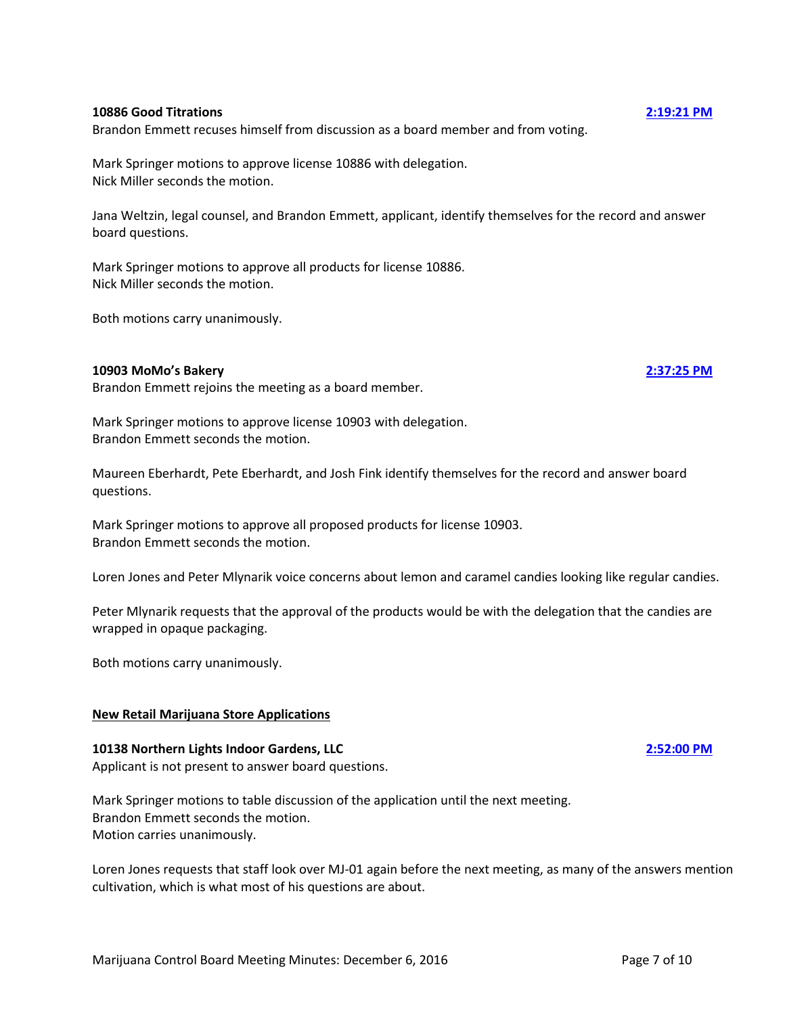#### **10886 Good Titrations [2:19:21 PM](ftr://?location="ABC Board"?date="06-Dec-2016"?position="14:19:21"?Data="0130cb3d")**

Brandon Emmett recuses himself from discussion as a board member and from voting.

Mark Springer motions to approve license 10886 with delegation. Nick Miller seconds the motion.

Jana Weltzin, legal counsel, and Brandon Emmett, applicant, identify themselves for the record and answer board questions.

Mark Springer motions to approve all products for license 10886. Nick Miller seconds the motion.

Both motions carry unanimously.

#### **10903 MoMo's Bakery [2:37:25 PM](ftr://?location="ABC Board"?date="06-Dec-2016"?position="14:37:25"?Data="7ca0f246")**

Brandon Emmett rejoins the meeting as a board member.

Mark Springer motions to approve license 10903 with delegation. Brandon Emmett seconds the motion.

Maureen Eberhardt, Pete Eberhardt, and Josh Fink identify themselves for the record and answer board questions.

Mark Springer motions to approve all proposed products for license 10903. Brandon Emmett seconds the motion.

Loren Jones and Peter Mlynarik voice concerns about lemon and caramel candies looking like regular candies.

Peter Mlynarik requests that the approval of the products would be with the delegation that the candies are wrapped in opaque packaging.

Both motions carry unanimously.

### **New Retail Marijuana Store Applications**

### **10138 Northern Lights Indoor Gardens, LLC [2:52:00 PM](ftr://?location="ABC Board"?date="06-Dec-2016"?position="14:52:00"?Data="0fa2cddb")**

Applicant is not present to answer board questions.

Mark Springer motions to table discussion of the application until the next meeting. Brandon Emmett seconds the motion. Motion carries unanimously.

Loren Jones requests that staff look over MJ-01 again before the next meeting, as many of the answers mention cultivation, which is what most of his questions are about.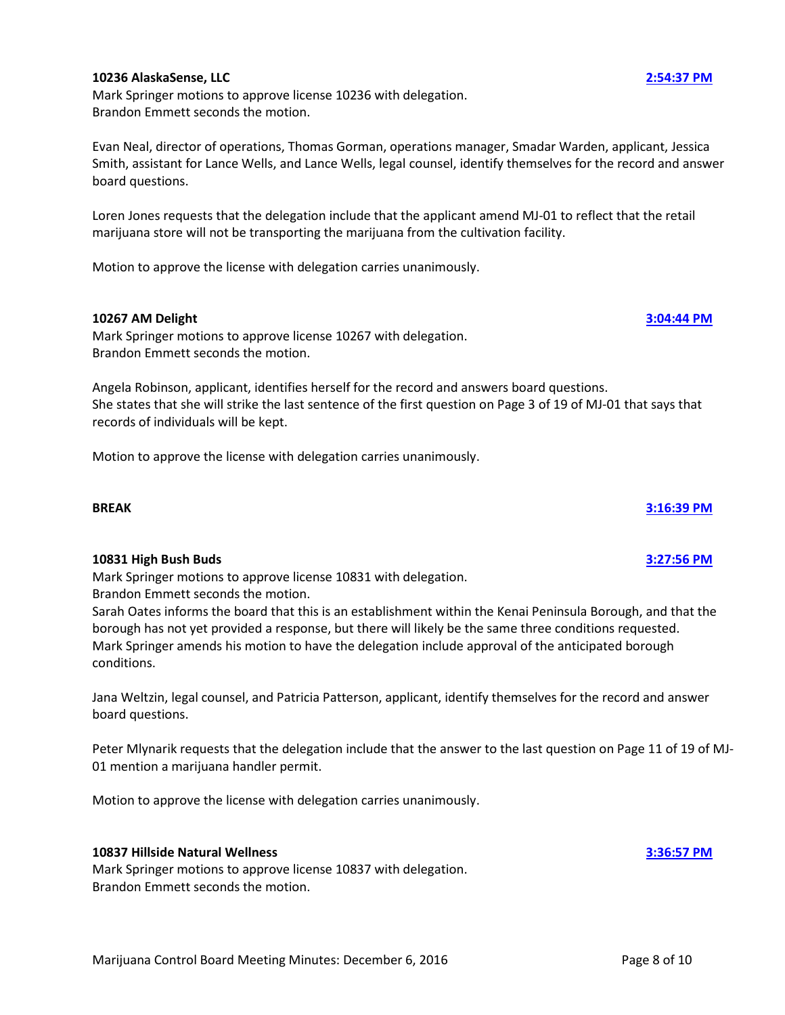#### **10236 AlaskaSense, LLC [2:54:37 PM](ftr://?location="ABC Board"?date="06-Dec-2016"?position="14:54:37"?Data="19fff78b")**

Mark Springer motions to approve license 10236 with delegation. Brandon Emmett seconds the motion.

Evan Neal, director of operations, Thomas Gorman, operations manager, Smadar Warden, applicant, Jessica Smith, assistant for Lance Wells, and Lance Wells, legal counsel, identify themselves for the record and answer board questions.

Loren Jones requests that the delegation include that the applicant amend MJ-01 to reflect that the retail marijuana store will not be transporting the marijuana from the cultivation facility.

Motion to approve the license with delegation carries unanimously.

#### **10267 AM Delight [3:04:44 PM](ftr://?location="ABC Board"?date="06-Dec-2016"?position="15:04:44"?Data="20848e5c")**

Mark Springer motions to approve license 10267 with delegation. Brandon Emmett seconds the motion.

Angela Robinson, applicant, identifies herself for the record and answers board questions. She states that she will strike the last sentence of the first question on Page 3 of 19 of MJ-01 that says that records of individuals will be kept.

Motion to approve the license with delegation carries unanimously.

# **BREAK [3:16:39 PM](ftr://?location="ABC Board"?date="06-Dec-2016"?position="15:16:39"?Data="50bbfa6b")**

#### **10831 High Bush Buds [3:27:56 PM](ftr://?location="ABC Board"?date="06-Dec-2016"?position="15:27:56"?Data="46ddb0ee")**

Mark Springer motions to approve license 10831 with delegation. Brandon Emmett seconds the motion.

Sarah Oates informs the board that this is an establishment within the Kenai Peninsula Borough, and that the borough has not yet provided a response, but there will likely be the same three conditions requested. Mark Springer amends his motion to have the delegation include approval of the anticipated borough conditions.

Jana Weltzin, legal counsel, and Patricia Patterson, applicant, identify themselves for the record and answer board questions.

Peter Mlynarik requests that the delegation include that the answer to the last question on Page 11 of 19 of MJ-01 mention a marijuana handler permit.

Motion to approve the license with delegation carries unanimously.

#### **10837 Hillside Natural Wellness [3:36:57 PM](ftr://?location="ABC Board"?date="06-Dec-2016"?position="15:36:57"?Data="8a06f0da")**

Mark Springer motions to approve license 10837 with delegation. Brandon Emmett seconds the motion.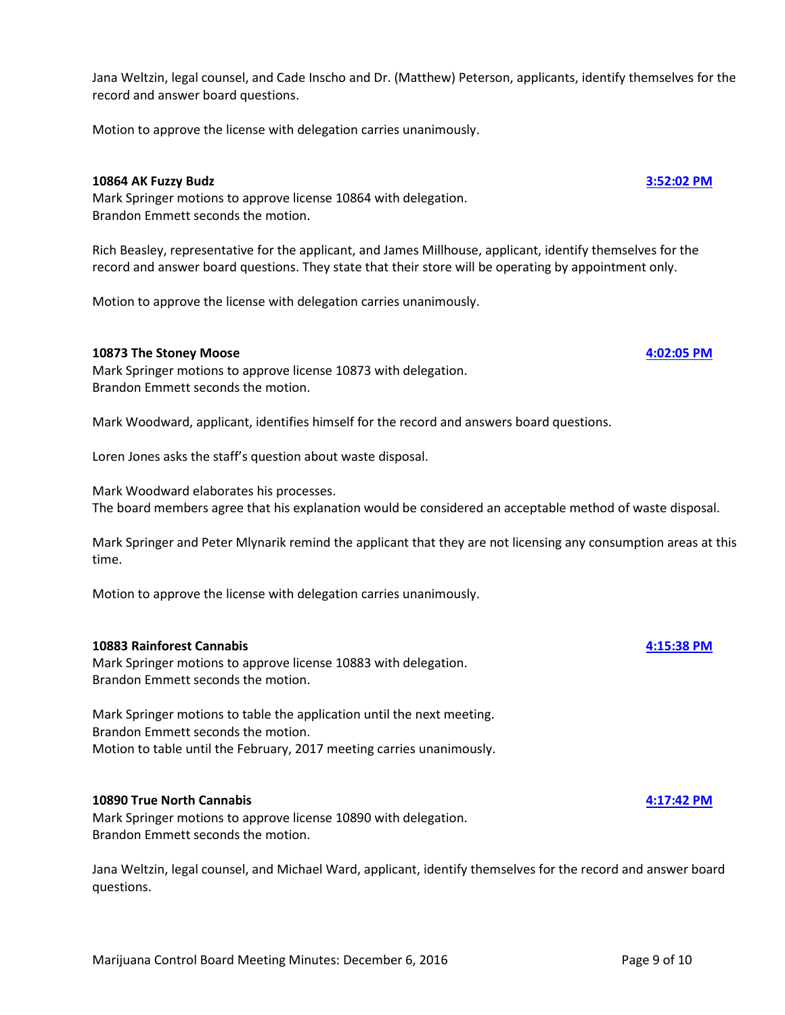Jana Weltzin, legal counsel, and Cade Inscho and Dr. (Matthew) Peterson, applicants, identify themselves for the record and answer board questions.

Motion to approve the license with delegation carries unanimously.

#### **10864 AK Fuzzy Budz [3:52:02 PM](ftr://?location="ABC Board"?date="06-Dec-2016"?position="15:52:02"?Data="0bc394c1")**

Mark Springer motions to approve license 10864 with delegation. Brandon Emmett seconds the motion.

Rich Beasley, representative for the applicant, and James Millhouse, applicant, identify themselves for the record and answer board questions. They state that their store will be operating by appointment only.

Motion to approve the license with delegation carries unanimously.

### **10873 The Stoney Moose [4:02:05 PM](ftr://?location="ABC Board"?date="06-Dec-2016"?position="16:02:05"?Data="277f6f9a")**

Mark Springer motions to approve license 10873 with delegation. Brandon Emmett seconds the motion.

Mark Woodward, applicant, identifies himself for the record and answers board questions.

Loren Jones asks the staff's question about waste disposal.

Mark Woodward elaborates his processes. The board members agree that his explanation would be considered an acceptable method of waste disposal.

Mark Springer and Peter Mlynarik remind the applicant that they are not licensing any consumption areas at this time.

Motion to approve the license with delegation carries unanimously.

#### **10883 Rainforest Cannabis [4:15:38 PM](ftr://?location="ABC Board"?date="06-Dec-2016"?position="16:15:38"?Data="2af892ff")**

Mark Springer motions to approve license 10883 with delegation. Brandon Emmett seconds the motion.

Mark Springer motions to table the application until the next meeting. Brandon Emmett seconds the motion. Motion to table until the February, 2017 meeting carries unanimously.

#### **10890 True North Cannabis [4:17:42 PM](ftr://?location="ABC Board"?date="06-Dec-2016"?position="16:17:42"?Data="5cb5921e")**

Mark Springer motions to approve license 10890 with delegation. Brandon Emmett seconds the motion.

Jana Weltzin, legal counsel, and Michael Ward, applicant, identify themselves for the record and answer board questions.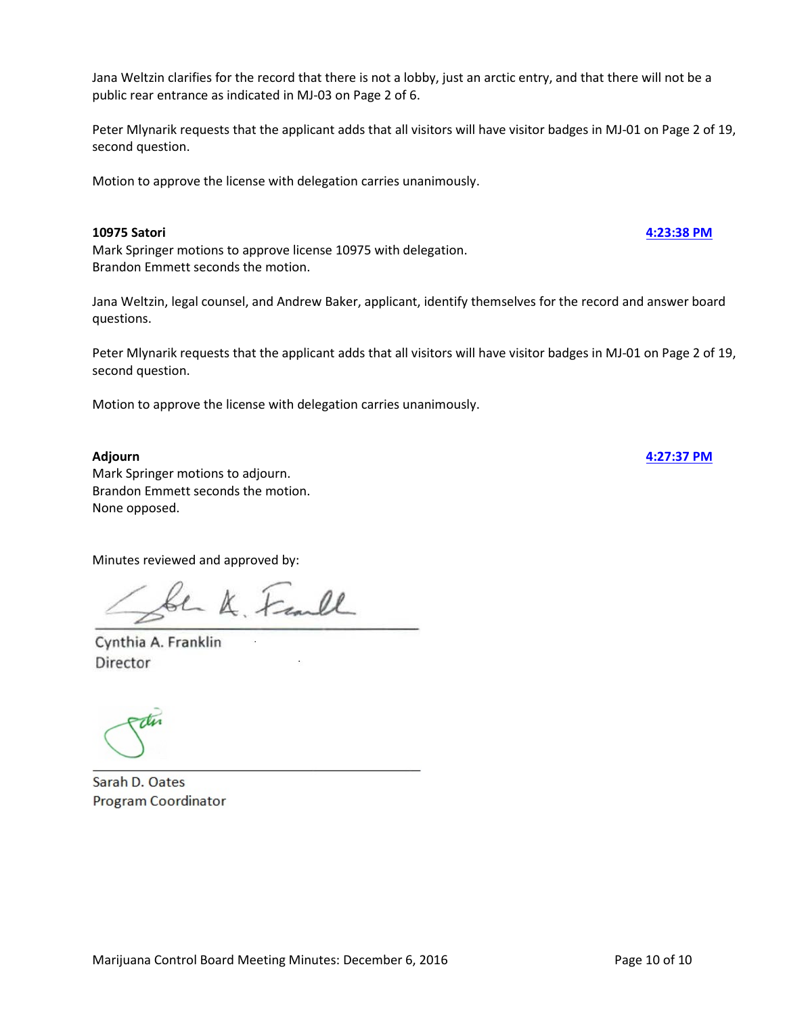Jana Weltzin clarifies for the record that there is not a lobby, just an arctic entry, and that there will not be a public rear entrance as indicated in MJ-03 on Page 2 of 6.

Peter Mlynarik requests that the applicant adds that all visitors will have visitor badges in MJ-01 on Page 2 of 19, second question.

Motion to approve the license with delegation carries unanimously.

### **10975 Satori [4:23:38 PM](ftr://?location="ABC Board"?date="06-Dec-2016"?position="16:23:38"?Data="50783048")**

Mark Springer motions to approve license 10975 with delegation. Brandon Emmett seconds the motion.

Jana Weltzin, legal counsel, and Andrew Baker, applicant, identify themselves for the record and answer board questions.

Peter Mlynarik requests that the applicant adds that all visitors will have visitor badges in MJ-01 on Page 2 of 19, second question.

Motion to approve the license with delegation carries unanimously.

**Adjourn [4:27:37 PM](ftr://?location="ABC Board"?date="06-Dec-2016"?position="16:27:37"?Data="01f08064")**

Mark Springer motions to adjourn. Brandon Emmett seconds the motion. None opposed.

Minutes reviewed and approved by:

be K. Frankl

Cynthia A. Franklin Director

Sarah D. Oates Program Coordinator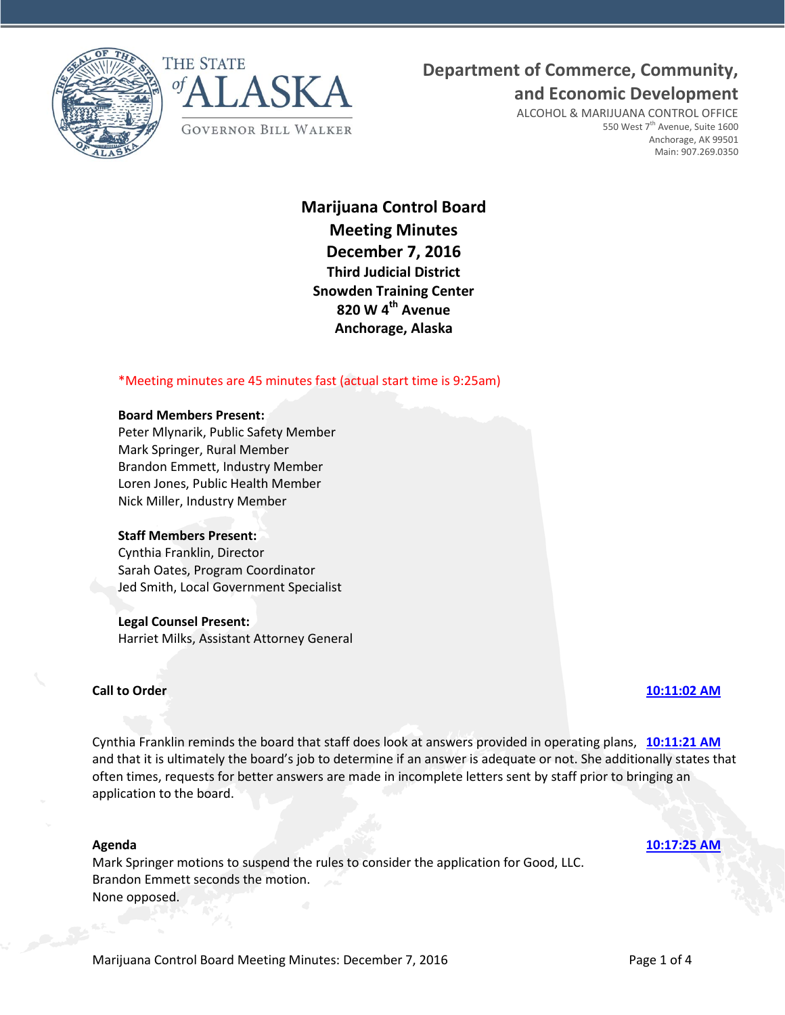



## **Department of Commerce, Community,**

**and Economic Development**

ALCOHOL & MARIJUANA CONTROL OFFICE 550 West 7<sup>th</sup> Avenue, Suite 1600 Anchorage, AK 99501 Main: 907.269.0350

**Marijuana Control Board Meeting Minutes December 7, 2016 Third Judicial District Snowden Training Center 820 W 4th Avenue Anchorage, Alaska**

### \*Meeting minutes are 45 minutes fast (actual start time is 9:25am)

#### **Board Members Present:**

Peter Mlynarik, Public Safety Member Mark Springer, Rural Member Brandon Emmett, Industry Member Loren Jones, Public Health Member Nick Miller, Industry Member

#### **Staff Members Present:**

Cynthia Franklin, Director Sarah Oates, Program Coordinator Jed Smith, Local Government Specialist

#### **Legal Counsel Present:**

Harriet Milks, Assistant Attorney General

#### **Call to Order [10:11:02 AM](ftr://?location="ABC Board"?date="07-Dec-2016"?position="10:11:02"?Data="2fb029db")**

Cynthia Franklin reminds the board that staff does look at answers provided in operating plans, **[10:11:21 AM](ftr://?location="ABC Board"?date="07-Dec-2016"?position="10:11:21"?Data="70cd273e")** and that it is ultimately the board's job to determine if an answer is adequate or not. She additionally states that often times, requests for better answers are made in incomplete letters sent by staff prior to bringing an application to the board.

Mark Springer motions to suspend the rules to consider the application for Good, LLC. Brandon Emmett seconds the motion. None opposed.

**Agenda [10:17:25 AM](ftr://?location="ABC Board"?date="07-Dec-2016"?position="10:17:25"?Data="f2b1c02e")**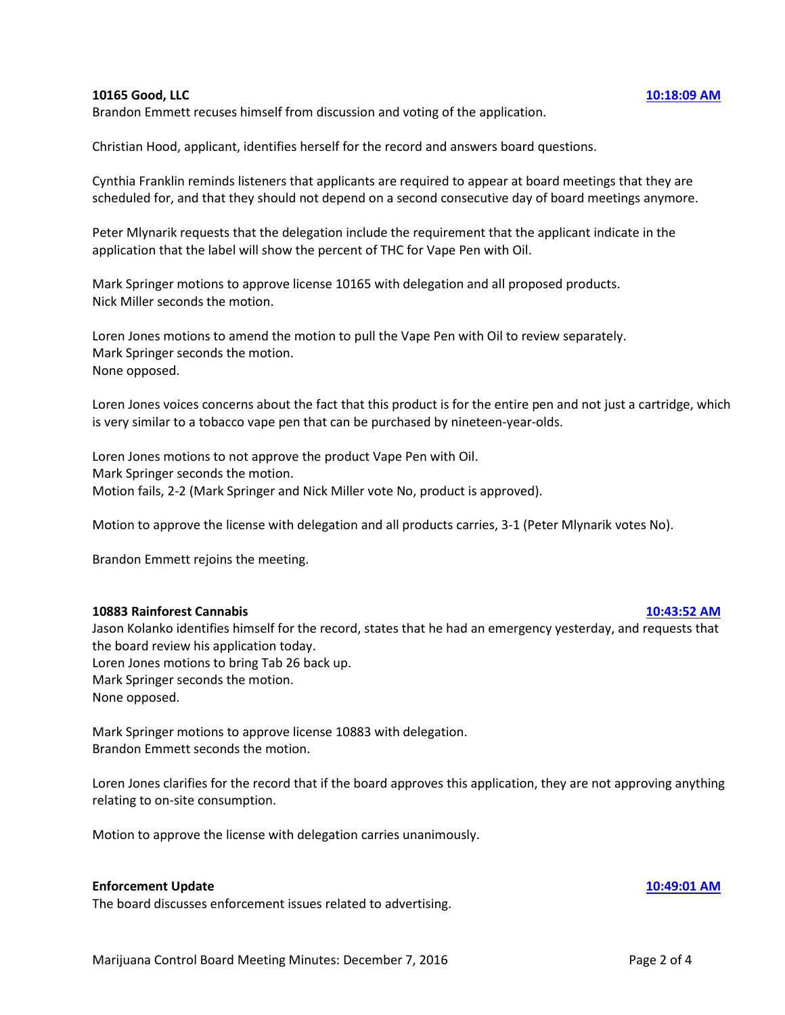#### **10165 Good, LLC [10:18:09 AM](ftr://?location="ABC Board"?date="07-Dec-2016"?position="10:18:09"?Data="04a48510")**

Brandon Emmett recuses himself from discussion and voting of the application.

Christian Hood, applicant, identifies herself for the record and answers board questions.

Cynthia Franklin reminds listeners that applicants are required to appear at board meetings that they are scheduled for, and that they should not depend on a second consecutive day of board meetings anymore.

Peter Mlynarik requests that the delegation include the requirement that the applicant indicate in the application that the label will show the percent of THC for Vape Pen with Oil.

Mark Springer motions to approve license 10165 with delegation and all proposed products. Nick Miller seconds the motion.

Loren Jones motions to amend the motion to pull the Vape Pen with Oil to review separately. Mark Springer seconds the motion. None opposed.

Loren Jones voices concerns about the fact that this product is for the entire pen and not just a cartridge, which is very similar to a tobacco vape pen that can be purchased by nineteen-year-olds.

Loren Jones motions to not approve the product Vape Pen with Oil. Mark Springer seconds the motion. Motion fails, 2-2 (Mark Springer and Nick Miller vote No, product is approved).

Motion to approve the license with delegation and all products carries, 3-1 (Peter Mlynarik votes No).

Brandon Emmett rejoins the meeting.

#### **10883 Rainforest Cannabis [10:43:52 AM](ftr://?location="ABC Board"?date="07-Dec-2016"?position="10:43:52"?Data="e32b1f45")**

Jason Kolanko identifies himself for the record, states that he had an emergency yesterday, and requests that the board review his application today.

Loren Jones motions to bring Tab 26 back up. Mark Springer seconds the motion.

None opposed.

Mark Springer motions to approve license 10883 with delegation. Brandon Emmett seconds the motion.

Loren Jones clarifies for the record that if the board approves this application, they are not approving anything relating to on-site consumption.

Motion to approve the license with delegation carries unanimously.

#### **Enforcement Update [10:49:01 AM](ftr://?location="ABC Board"?date="07-Dec-2016"?position="10:49:01"?Data="b671b1d1")**

The board discusses enforcement issues related to advertising.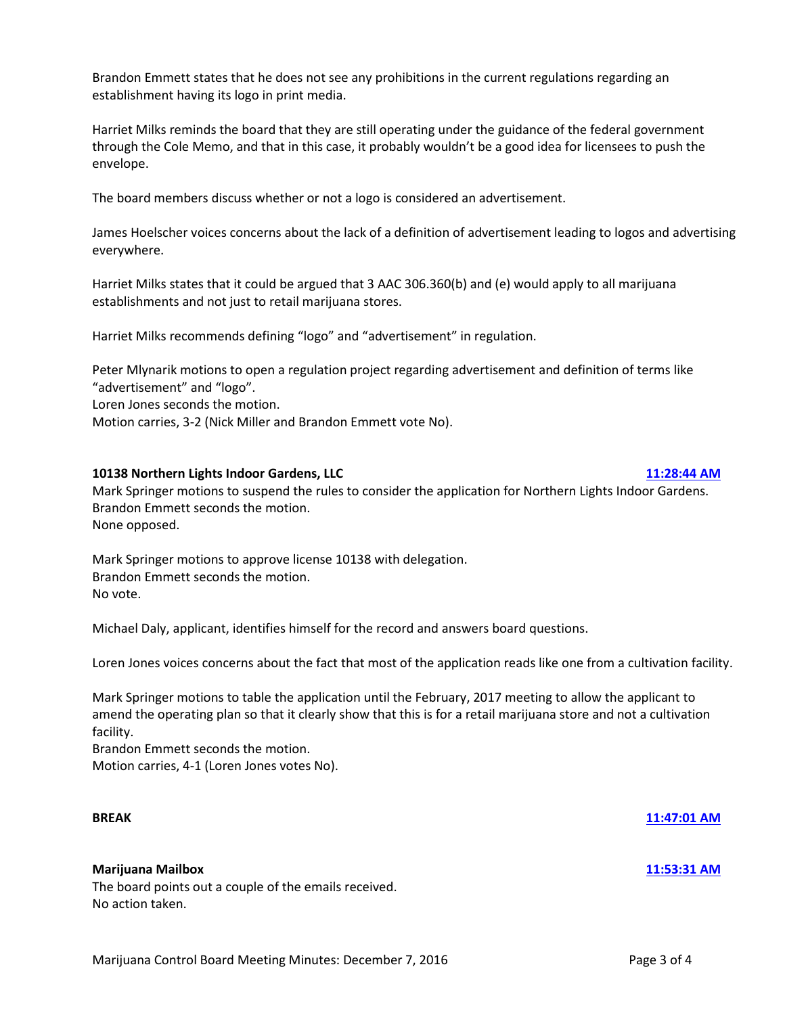Brandon Emmett states that he does not see any prohibitions in the current regulations regarding an establishment having its logo in print media.

Harriet Milks reminds the board that they are still operating under the guidance of the federal government through the Cole Memo, and that in this case, it probably wouldn't be a good idea for licensees to push the envelope.

The board members discuss whether or not a logo is considered an advertisement.

James Hoelscher voices concerns about the lack of a definition of advertisement leading to logos and advertising everywhere.

Harriet Milks states that it could be argued that 3 AAC 306.360(b) and (e) would apply to all marijuana establishments and not just to retail marijuana stores.

Harriet Milks recommends defining "logo" and "advertisement" in regulation.

Peter Mlynarik motions to open a regulation project regarding advertisement and definition of terms like "advertisement" and "logo".

Loren Jones seconds the motion.

Motion carries, 3-2 (Nick Miller and Brandon Emmett vote No).

### **10138 Northern Lights Indoor Gardens, LLC [11:28:44 AM](ftr://?location="ABC Board"?date="07-Dec-2016"?position="11:28:44"?Data="b4a95cba")**

Mark Springer motions to suspend the rules to consider the application for Northern Lights Indoor Gardens. Brandon Emmett seconds the motion. None opposed.

Mark Springer motions to approve license 10138 with delegation. Brandon Emmett seconds the motion. No vote.

Michael Daly, applicant, identifies himself for the record and answers board questions.

Loren Jones voices concerns about the fact that most of the application reads like one from a cultivation facility.

Mark Springer motions to table the application until the February, 2017 meeting to allow the applicant to amend the operating plan so that it clearly show that this is for a retail marijuana store and not a cultivation facility.

Brandon Emmett seconds the motion. Motion carries, 4-1 (Loren Jones votes No).

#### **BREAK [11:47:01 AM](ftr://?location="ABC Board"?date="07-Dec-2016"?position="11:47:01"?Data="06d010f3")**

#### **Marijuana Mailbox [11:53:31 AM](ftr://?location="ABC Board"?date="07-Dec-2016"?position="11:53:31"?Data="120a8e48")**

The board points out a couple of the emails received. No action taken.